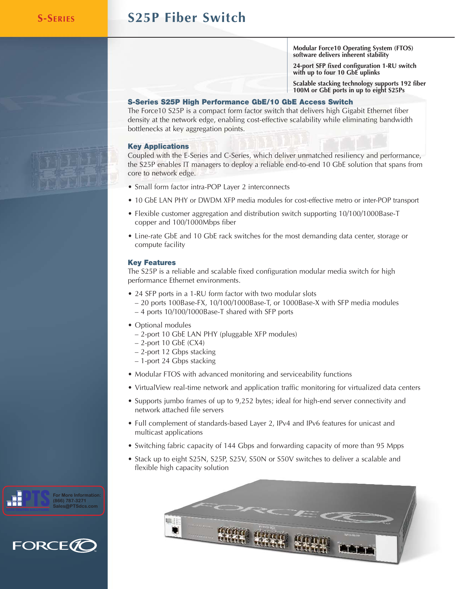**For More Information (866) 787-3271 Sales@PTSdcs.com**

.T

**FORCE(** 

# **S-SERIES S25P Fiber Switch**

**Modular Force10 Operating System (FTOS) software delivers inherent stability**

**24-port SFP fixed configuration 1-RU switch with up to four 10 GbE uplinks**

**Scalable stacking technology supports 192 fiber 100M or GbE ports in up to eight S25Ps**

## **S-Series S25P High Performance GbE/10 GbE Access Switch**

The Force10 S25P is a compact form factor switch that delivers high Gigabit Ethernet fiber density at the network edge, enabling cost-effective scalability while eliminating bandwidth bottlenecks at key aggregation points.

## **Key Applications**

Coupled with the E-Series and C-Series, which deliver unmatched resiliency and performance, the S25P enables IT managers to deploy a reliable end-to-end 10 GbE solution that spans from core to network edge.

- Small form factor intra-POP Layer 2 interconnects
- 10 GbE LAN PHY or DWDM XFP media modules for cost-effective metro or inter-POP transport
- Flexible customer aggregation and distribution switch supporting 10/100/1000Base-T copper and 100/1000Mbps fiber
- Line-rate GbE and 10 GbE rack switches for the most demanding data center, storage or compute facility

## **Key Features**

The S25P is a reliable and scalable fixed configuration modular media switch for high performance Ethernet environments.

- 24 SFP ports in a 1-RU form factor with two modular slots
	- 20 ports 100Base-FX, 10/100/1000Base-T, or 1000Base-X with SFP media modules – 4 ports 10/100/1000Base-T shared with SFP ports
- Optional modules
	- 2-port 10 GbE LAN PHY (pluggable XFP modules)
	- 2-port 10 GbE (CX4)
	- 2-port 12 Gbps stacking
	- 1-port 24 Gbps stacking
- Modular FTOS with advanced monitoring and serviceability functions
- VirtualView real-time network and application traffic monitoring for virtualized data centers
- Supports jumbo frames of up to 9,252 bytes; ideal for high-end server connectivity and network attached file servers
- Full complement of standards-based Layer 2, IPv4 and IPv6 features for unicast and multicast applications
- Switching fabric capacity of 144 Gbps and forwarding capacity of more than 95 Mpps
- Stack up to eight S25N, S25P, S25V, S50N or S50V switches to deliver a scalable and flexible high capacity solution